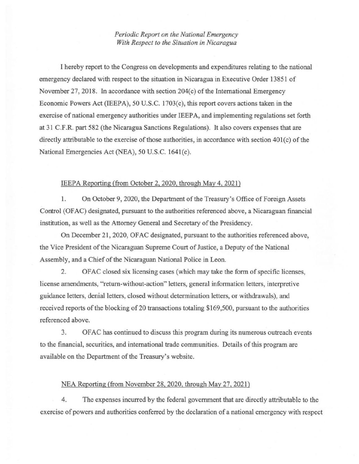*Periodic Report on the National Emergency With Respect to the Situation in Nicaragua* 

I hereby report to the Congress on developments and expenditures relating to the national emergency declared with respect to the situation in Nicaragua in Executive Order 13851 of November 27, 2018. In accordance with section  $204(c)$  of the International Emergency Economic Powers Act (IEEPA), 50 U.S.C. 1703(c), this report covers actions taken in the exercise of national emergency authorities under IEEP A, and implementing regulations set forth at 31 C.F.R. part 582 (the Nicaragua Sanctions Regulations). It also covers expenses that are directly attributable to the exercise of those authorities, in accordance with section 401(c) of the National Emergencies Act (NEA), 50 U.S.C. 1641(c).

## IEEPA Reporting (from October 2, 2020, through May 4, 2021)

1. On October 9, 2020, the Department of the Treasury's Office of Foreign Assets Control (OF AC) designated, pursuant to the authorities referenced above, a Nicaraguan financial institution, as well as the Attorney General and Secretary of the Presidency.

On December 21, 2020, OFAC designated, pursuant to the authorities referenced above, the Vice President of the Nicaraguan Supreme Court of Justice, a Deputy of the National Assembly, and a Chief of the Nicaraguan National Police in Leon.

2. OF AC closed six licensing cases (which may take the form of specific licenses, license amendments, "return-without-action" letters, general information letters, interpretive guidance letters, denial letters, closed without determination letters, or withdrawals), and received reports of the blocking of 20 transactions totaling \$169,500, pursuant to the authorities referenced above.

3. OFAC has continued to discuss this program during its numerous outreach events to the financial, securities, and international trade communities. Details of this program are available on the Department of the Treasury's website.

## NEA Reporting (from November 28,2020, through May 27, 2021)

4. The expenses incurred by the federal government that are directly attributable to the exercise of powers and authorities conferred by the declaration of a national emergency with respect